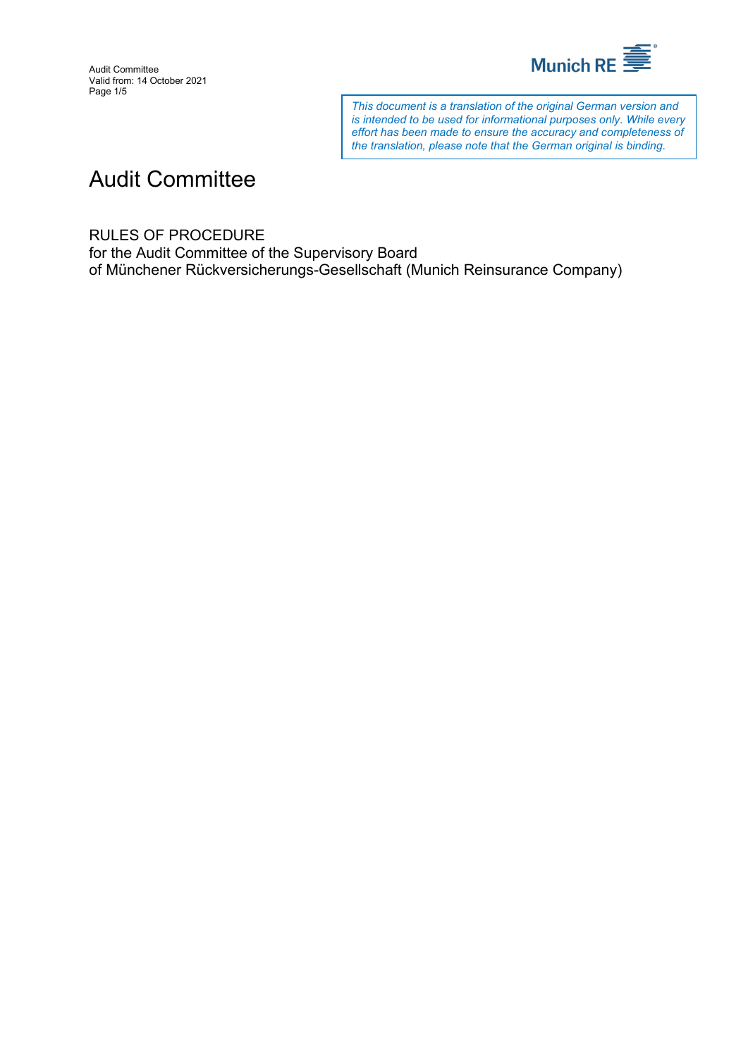

*This document is a translation of the original German version and is intended to be used for informational purposes only. While every effort has been made to ensure the accuracy and completeness of the translation, please note that the German original is binding.*

# Audit Committee

RULES OF PROCEDURE

for the Audit Committee of the Supervisory Board of Münchener Rückversicherungs-Gesellschaft (Munich Reinsurance Company)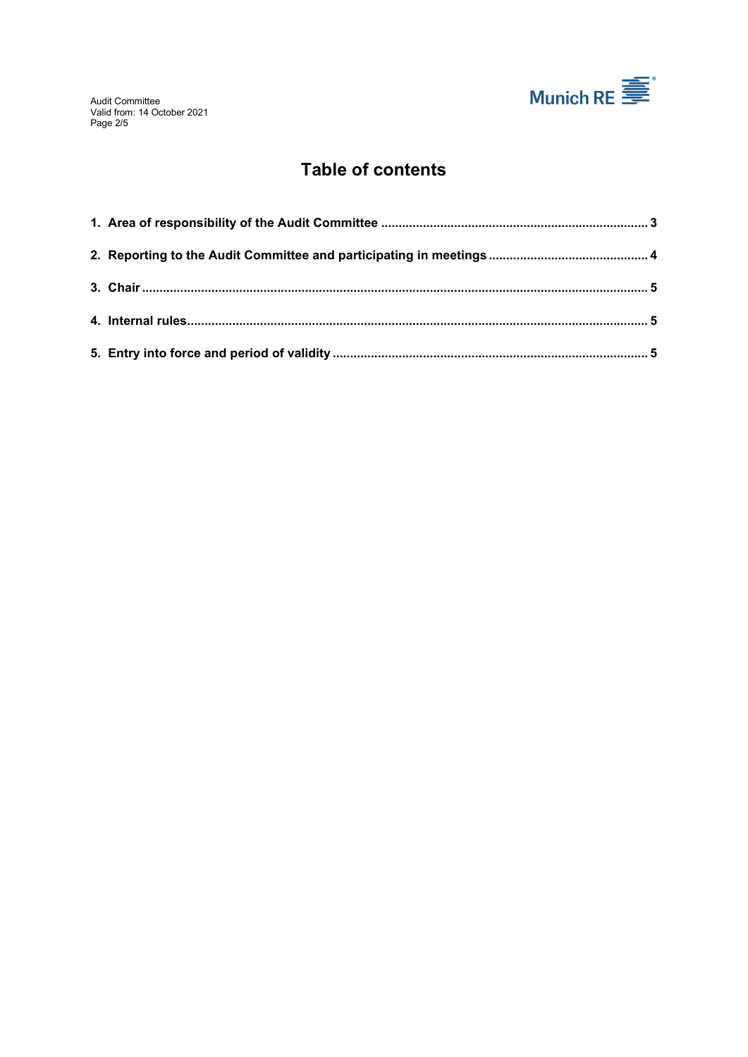

# **Table of contents**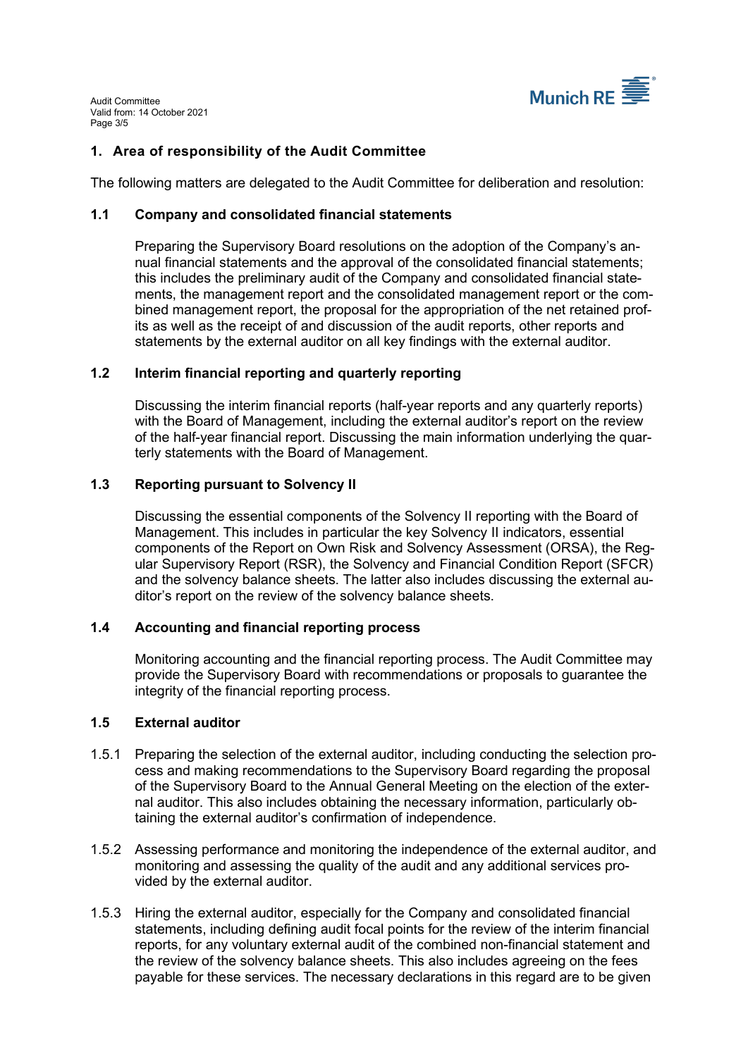

# <span id="page-2-0"></span>**1. Area of responsibility of the Audit Committee**

The following matters are delegated to the Audit Committee for deliberation and resolution:

# **1.1 Company and consolidated financial statements**

Preparing the Supervisory Board resolutions on the adoption of the Company's annual financial statements and the approval of the consolidated financial statements; this includes the preliminary audit of the Company and consolidated financial statements, the management report and the consolidated management report or the combined management report, the proposal for the appropriation of the net retained profits as well as the receipt of and discussion of the audit reports, other reports and statements by the external auditor on all key findings with the external auditor.

# **1.2 Interim financial reporting and quarterly reporting**

Discussing the interim financial reports (half-year reports and any quarterly reports) with the Board of Management, including the external auditor's report on the review of the half-year financial report. Discussing the main information underlying the quarterly statements with the Board of Management.

# **1.3 Reporting pursuant to Solvency II**

Discussing the essential components of the Solvency II reporting with the Board of Management. This includes in particular the key Solvency II indicators, essential components of the Report on Own Risk and Solvency Assessment (ORSA), the Regular Supervisory Report (RSR), the Solvency and Financial Condition Report (SFCR) and the solvency balance sheets. The latter also includes discussing the external auditor's report on the review of the solvency balance sheets.

# **1.4 Accounting and financial reporting process**

Monitoring accounting and the financial reporting process. The Audit Committee may provide the Supervisory Board with recommendations or proposals to guarantee the integrity of the financial reporting process.

# **1.5 External auditor**

- 1.5.1 Preparing the selection of the external auditor, including conducting the selection process and making recommendations to the Supervisory Board regarding the proposal of the Supervisory Board to the Annual General Meeting on the election of the external auditor. This also includes obtaining the necessary information, particularly obtaining the external auditor's confirmation of independence.
- 1.5.2 Assessing performance and monitoring the independence of the external auditor, and monitoring and assessing the quality of the audit and any additional services provided by the external auditor.
- 1.5.3 Hiring the external auditor, especially for the Company and consolidated financial statements, including defining audit focal points for the review of the interim financial reports, for any voluntary external audit of the combined non-financial statement and the review of the solvency balance sheets. This also includes agreeing on the fees payable for these services. The necessary declarations in this regard are to be given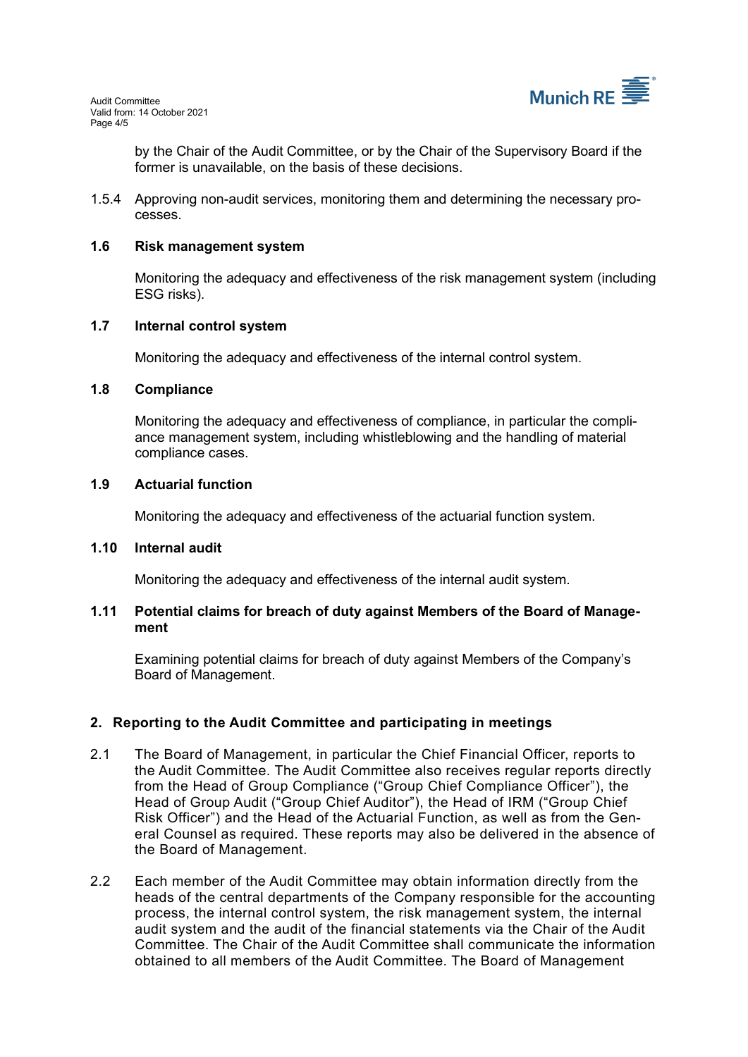

by the Chair of the Audit Committee, or by the Chair of the Supervisory Board if the former is unavailable, on the basis of these decisions.

1.5.4 Approving non-audit services, monitoring them and determining the necessary processes.

# **1.6 Risk management system**

Monitoring the adequacy and effectiveness of the risk management system (including ESG risks).

#### **1.7 Internal control system**

Monitoring the adequacy and effectiveness of the internal control system.

#### **1.8 Compliance**

Monitoring the adequacy and effectiveness of compliance, in particular the compliance management system, including whistleblowing and the handling of material compliance cases.

#### **1.9 Actuarial function**

Monitoring the adequacy and effectiveness of the actuarial function system.

#### **1.10 Internal audit**

Monitoring the adequacy and effectiveness of the internal audit system.

#### **1.11 Potential claims for breach of duty against Members of the Board of Management**

Examining potential claims for breach of duty against Members of the Company's Board of Management.

# <span id="page-3-0"></span>**2. Reporting to the Audit Committee and participating in meetings**

- 2.1 The Board of Management, in particular the Chief Financial Officer, reports to the Audit Committee. The Audit Committee also receives regular reports directly from the Head of Group Compliance ("Group Chief Compliance Officer"), the Head of Group Audit ("Group Chief Auditor"), the Head of IRM ("Group Chief Risk Officer") and the Head of the Actuarial Function, as well as from the General Counsel as required. These reports may also be delivered in the absence of the Board of Management.
- 2.2 Each member of the Audit Committee may obtain information directly from the heads of the central departments of the Company responsible for the accounting process, the internal control system, the risk management system, the internal audit system and the audit of the financial statements via the Chair of the Audit Committee. The Chair of the Audit Committee shall communicate the information obtained to all members of the Audit Committee. The Board of Management